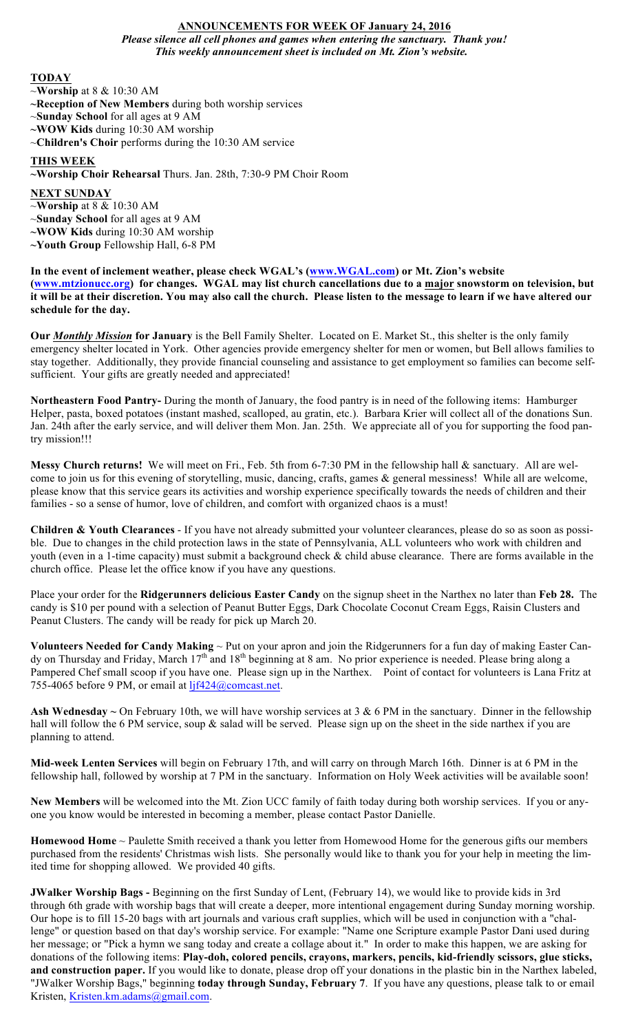# **ANNOUNCEMENTS FOR WEEK OF January 24, 2016** *Please silence all cell phones and games when entering the sanctuary. Thank you! This weekly announcement sheet is included on Mt. Zion's website.*

#### **TODAY**

~**Worship** at 8 & 10:30 AM

- **~Reception of New Members** during both worship services
- ~**Sunday School** for all ages at 9 AM
- **~WOW Kids** during 10:30 AM worship
- ~**Children's Choir** performs during the 10:30 AM service

# **THIS WEEK**

### **~Worship Choir Rehearsal** Thurs. Jan. 28th, 7:30-9 PM Choir Room

**NEXT SUNDAY**

~**Worship** at 8 & 10:30 AM

~**Sunday School** for all ages at 9 AM

**~WOW Kids** during 10:30 AM worship

**~Youth Group** Fellowship Hall, 6-8 PM

#### **In the event of inclement weather, please check WGAL's (www.WGAL.com) or Mt. Zion's website (www.mtzionucc.org) for changes. WGAL may list church cancellations due to a major snowstorm on television, but it will be at their discretion. You may also call the church. Please listen to the message to learn if we have altered our schedule for the day.**

**Our** *Monthly Mission* **for January** is the Bell Family Shelter. Located on E. Market St., this shelter is the only family emergency shelter located in York. Other agencies provide emergency shelter for men or women, but Bell allows families to stay together. Additionally, they provide financial counseling and assistance to get employment so families can become selfsufficient. Your gifts are greatly needed and appreciated!

**Northeastern Food Pantry-** During the month of January, the food pantry is in need of the following items: Hamburger Helper, pasta, boxed potatoes (instant mashed, scalloped, au gratin, etc.). Barbara Krier will collect all of the donations Sun. Jan. 24th after the early service, and will deliver them Mon. Jan. 25th. We appreciate all of you for supporting the food pantry mission!!!

**Messy Church returns!** We will meet on Fri., Feb. 5th from 6-7:30 PM in the fellowship hall & sanctuary. All are welcome to join us for this evening of storytelling, music, dancing, crafts, games & general messiness! While all are welcome, please know that this service gears its activities and worship experience specifically towards the needs of children and their families - so a sense of humor, love of children, and comfort with organized chaos is a must!

**Children & Youth Clearances** - If you have not already submitted your volunteer clearances, please do so as soon as possible. Due to changes in the child protection laws in the state of Pennsylvania, ALL volunteers who work with children and youth (even in a 1-time capacity) must submit a background check & child abuse clearance. There are forms available in the church office. Please let the office know if you have any questions.

Place your order for the **Ridgerunners delicious Easter Candy** on the signup sheet in the Narthex no later than **Feb 28.** The candy is \$10 per pound with a selection of Peanut Butter Eggs, Dark Chocolate Coconut Cream Eggs, Raisin Clusters and Peanut Clusters. The candy will be ready for pick up March 20.

**Volunteers Needed for Candy Making** ~ Put on your apron and join the Ridgerunners for a fun day of making Easter Candy on Thursday and Friday, March 17<sup>th</sup> and 18<sup>th</sup> beginning at 8 am. No prior experience is needed. Please bring along a Pampered Chef small scoop if you have one. Please sign up in the Narthex. Point of contact for volunteers is Lana Fritz at 755-4065 before 9 PM, or email at ljf424@comcast.net.

Ash Wednesday ~ On February 10th, we will have worship services at 3 & 6 PM in the sanctuary. Dinner in the fellowship hall will follow the 6 PM service, soup & salad will be served. Please sign up on the sheet in the side narthex if you are planning to attend.

**Mid-week Lenten Services** will begin on February 17th, and will carry on through March 16th. Dinner is at 6 PM in the fellowship hall, followed by worship at 7 PM in the sanctuary. Information on Holy Week activities will be available soon!

**New Members** will be welcomed into the Mt. Zion UCC family of faith today during both worship services. If you or anyone you know would be interested in becoming a member, please contact Pastor Danielle.

**Homewood Home** ~ Paulette Smith received a thank you letter from Homewood Home for the generous gifts our members purchased from the residents' Christmas wish lists. She personally would like to thank you for your help in meeting the limited time for shopping allowed. We provided 40 gifts.

**JWalker Worship Bags -** Beginning on the first Sunday of Lent, (February 14), we would like to provide kids in 3rd through 6th grade with worship bags that will create a deeper, more intentional engagement during Sunday morning worship. Our hope is to fill 15-20 bags with art journals and various craft supplies, which will be used in conjunction with a "challenge" or question based on that day's worship service. For example: "Name one Scripture example Pastor Dani used during her message; or "Pick a hymn we sang today and create a collage about it." In order to make this happen, we are asking for donations of the following items: **Play-doh, colored pencils, crayons, markers, pencils, kid-friendly scissors, glue sticks, and construction paper.** If you would like to donate, please drop off your donations in the plastic bin in the Narthex labeled, "JWalker Worship Bags," beginning **today through Sunday, February 7**. If you have any questions, please talk to or email Kristen, Kristen.km.adams@gmail.com.